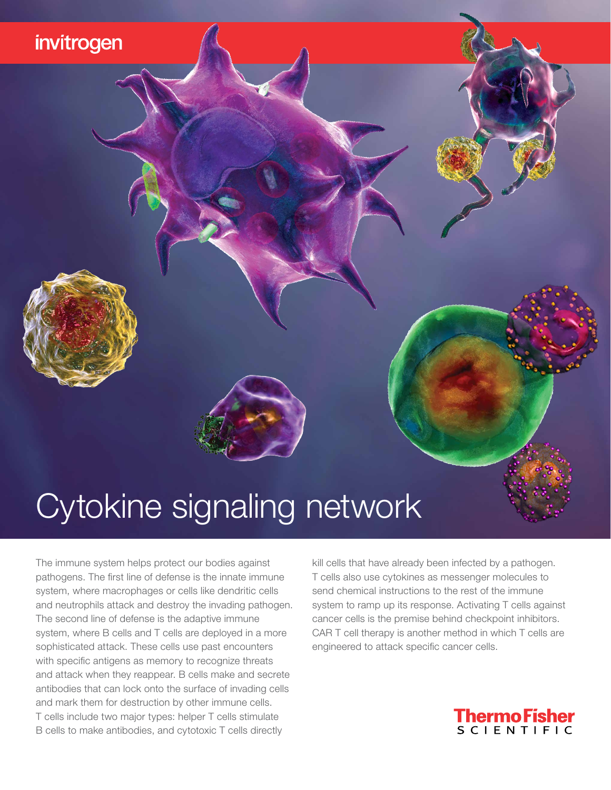## invitrogen

# Cytokine signaling network

The immune system helps protect our bodies against pathogens. The first line of defense is the innate immune system, where macrophages or cells like dendritic cells and neutrophils attack and destroy the invading pathogen. The second line of defense is the adaptive immune system, where B cells and T cells are deployed in a more sophisticated attack. These cells use past encounters with specific antigens as memory to recognize threats and attack when they reappear. B cells make and secrete antibodies that can lock onto the surface of invading cells and mark them for destruction by other immune cells. T cells include two major types: helper T cells stimulate B cells to make antibodies, and cytotoxic T cells directly

kill cells that have already been infected by a pathogen. T cells also use cytokines as messenger molecules to send chemical instructions to the rest of the immune system to ramp up its response. Activating T cells against cancer cells is the premise behind checkpoint inhibitors. CAR T cell therapy is another method in which T cells are engineered to attack specific cancer cells.

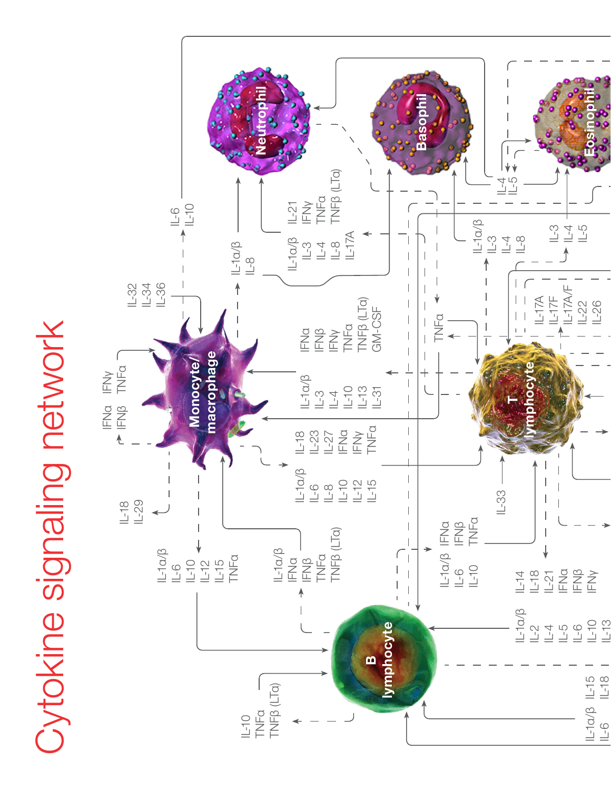# **Oytokine signaling network** Cytokine signaling network

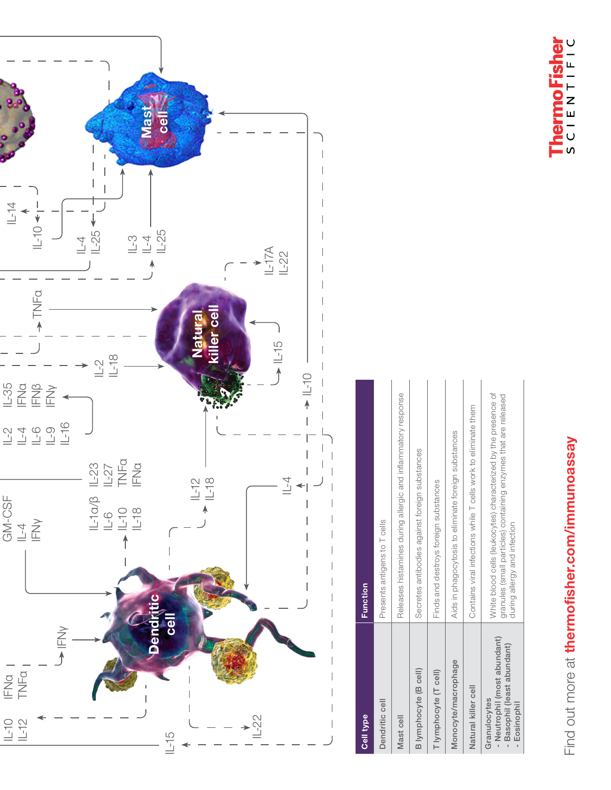

# Find out more at thermofisher.com/immunoassay Find out more at [thermofisher.com/immunoassay](http://thermofisher.com/immunoassay)



| Cell type                                                                                   | <b>Function</b>                                                                                                                                                    |
|---------------------------------------------------------------------------------------------|--------------------------------------------------------------------------------------------------------------------------------------------------------------------|
| Dendritic cell                                                                              | Presents antigens to T cells                                                                                                                                       |
| Mast cell                                                                                   | Releases histamines during allergic and inflammatory response                                                                                                      |
| B lymphocyte (B cell)                                                                       | Secretes antibodies against foreign substances                                                                                                                     |
| T lymphocyte (T cell)                                                                       | Finds and destroys foreign substances                                                                                                                              |
| Monocyte/macrophage                                                                         | Aids in phagocytosis to eliminate foreign substances                                                                                                               |
| Natural killer cell                                                                         | Contains viral infections while T cells work to eliminate them                                                                                                     |
| - Neutrophil (most abundant)<br>- Basophil (least abundant)<br>Granulocytes<br>- Eosinophil | White blood cells (leukocytes) characterized by the presence of<br>granules (small particles) containing enzymes that are released<br>during allergy and infection |